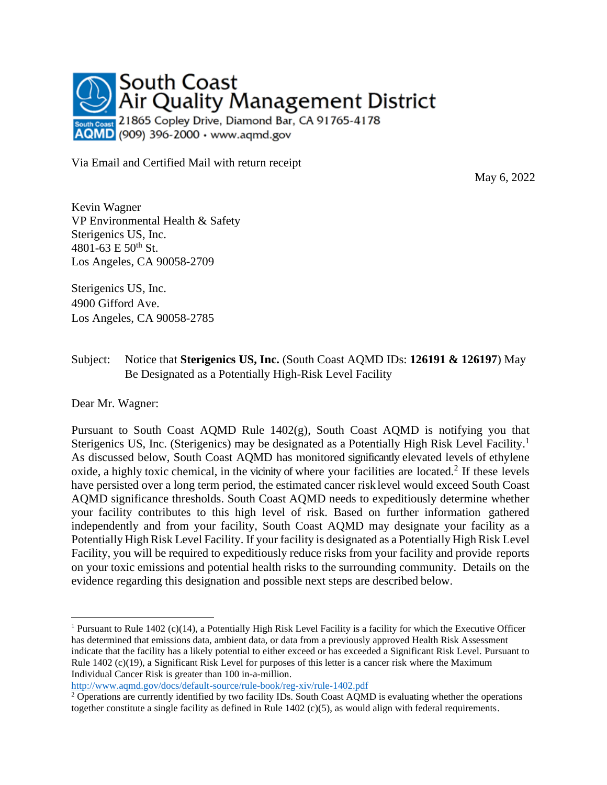

Via Email and Certified Mail with return receipt

May 6, 2022

Kevin Wagner VP Environmental Health & Safety Sterigenics US, Inc. 4801-63 E  $50^{th}$  St. Los Angeles, CA 90058-2709

Sterigenics US, Inc. 4900 Gifford Ave. Los Angeles, CA 90058-2785

## Subject: Notice that **Sterigenics US, Inc.** (South Coast AQMD IDs: **126191 & 126197**) May Be Designated as a Potentially High-Risk Level Facility

Dear Mr. Wagner:

Pursuant to South Coast AQMD Rule 1402(g), South Coast AQMD is notifying you that Sterigenics US, Inc. (Sterigenics) may be designated as a Potentially High Risk Level Facility.<sup>1</sup> As discussed below, South Coast AQMD has monitored significantly elevated levels of ethylene oxide, a highly toxic chemical, in the vicinity of where your facilities are located.<sup>2</sup> If these levels have persisted over a long term period, the estimated cancer risk level would exceed South Coast AQMD significance thresholds. South Coast AQMD needs to expeditiously determine whether your facility contributes to this high level of risk. Based on further information gathered independently and from your facility, South Coast AQMD may designate your facility as a Potentially High Risk Level Facility. If your facility is designated as a Potentially High Risk Level Facility, you will be required to expeditiously reduce risks from your facility and provide reports on your toxic emissions and potential health risks to the surrounding community. Details on the evidence regarding this designation and possible next steps are described below.

<sup>&</sup>lt;sup>1</sup> Pursuant to Rule 1402 (c)(14), a Potentially High Risk Level Facility is a facility for which the Executive Officer has determined that emissions data, ambient data, or data from a previously approved Health Risk Assessment indicate that the facility has a likely potential to either exceed or has exceeded a Significant Risk Level. Pursuant to Rule 1402 (c)(19), a Significant Risk Level for purposes of this letter is a cancer risk where the Maximum Individual Cancer Risk is greater than 100 in-a-million.

<http://www.aqmd.gov/docs/default-source/rule-book/reg-xiv/rule-1402.pdf>

<sup>&</sup>lt;sup>2</sup> Operations are currently identified by two facility IDs. South Coast AQMD is evaluating whether the operations together constitute a single facility as defined in Rule 1402 (c)(5), as would align with federal requirements.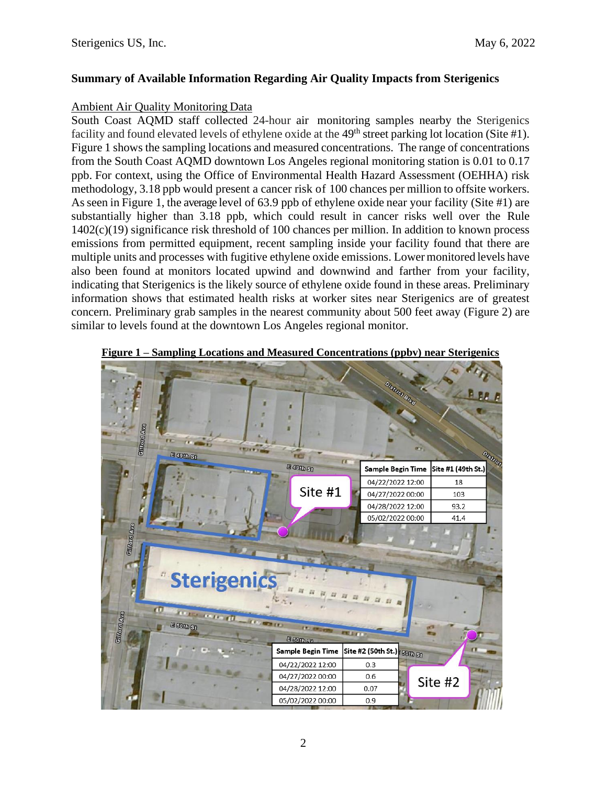### **Summary of Available Information Regarding Air Quality Impacts from Sterigenics**

#### Ambient Air Quality Monitoring Data

South Coast AQMD staff collected 24-hour air monitoring samples nearby the Sterigenics facility and found elevated levels of ethylene oxide at the  $49<sup>th</sup>$  street parking lot location (Site #1). Figure 1 shows the sampling locations and measured concentrations. The range of concentrations from the South Coast AQMD downtown Los Angeles regional monitoring station is 0.01 to 0.17 ppb. For context, using the Office of Environmental Health Hazard Assessment (OEHHA) risk methodology, 3.18 ppb would present a cancer risk of 100 chances per million to offsite workers. Asseen in Figure 1, the average level of 63.9 ppb of ethylene oxide near your facility (Site #1) are substantially higher than 3.18 ppb, which could result in cancer risks well over the Rule 1402(c)(19) significance risk threshold of 100 chances per million. In addition to known process emissions from permitted equipment, recent sampling inside your facility found that there are multiple units and processes with fugitive ethylene oxide emissions. Lowermonitored levels have also been found at monitors located upwind and downwind and farther from your facility, indicating that Sterigenics is the likely source of ethylene oxide found in these areas. Preliminary information shows that estimated health risks at worker sites near Sterigenics are of greatest concern. Preliminary grab samples in the nearest community about 500 feet away (Figure 2) are similar to levels found at the downtown Los Angeles regional monitor.



**Figure 1 – Sampling Locations and Measured Concentrations (ppbv) near Sterigenics**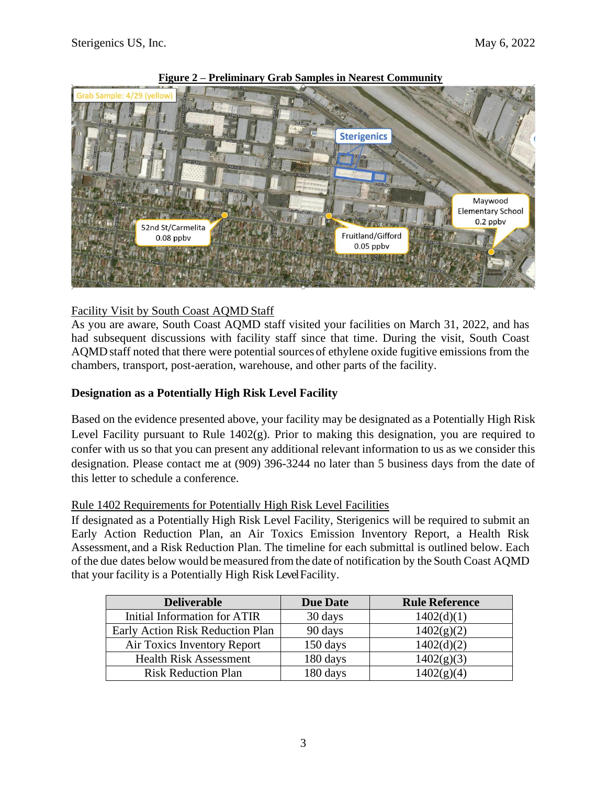

**Figure 2 – Preliminary Grab Samples in Nearest Community**

# Facility Visit by South Coast AQMD Staff

As you are aware, South Coast AQMD staff visited your facilities on March 31, 2022, and has had subsequent discussions with facility staff since that time. During the visit, South Coast AQMD staff noted that there were potential sources of ethylene oxide fugitive emissions from the chambers, transport, post-aeration, warehouse, and other parts of the facility.

# **Designation as a Potentially High Risk Level Facility**

Based on the evidence presented above, your facility may be designated as a Potentially High Risk Level Facility pursuant to Rule 1402(g). Prior to making this designation, you are required to confer with us so that you can present any additional relevant information to us as we consider this designation. Please contact me at (909) 396-3244 no later than 5 business days from the date of this letter to schedule a conference.

### Rule 1402 Requirements for Potentially High Risk Level Facilities

If designated as a Potentially High Risk Level Facility, Sterigenics will be required to submit an Early Action Reduction Plan, an Air Toxics Emission Inventory Report, a Health Risk Assessment, and a Risk Reduction Plan. The timeline for each submittal is outlined below. Each of the due dates below would be measured from the date of notification by the South Coast AQMD that your facility is a Potentially High Risk Level Facility.

| <b>Deliverable</b>               | <b>Due Date</b> | <b>Rule Reference</b> |
|----------------------------------|-----------------|-----------------------|
| Initial Information for ATIR     | 30 days         | 1402(d)(1)            |
| Early Action Risk Reduction Plan | 90 days         | 1402(g)(2)            |
| Air Toxics Inventory Report      | 150 days        | 1402(d)(2)            |
| <b>Health Risk Assessment</b>    | 180 days        | 1402(g)(3)            |
| <b>Risk Reduction Plan</b>       | 180 days        | 1402(g)(4)            |